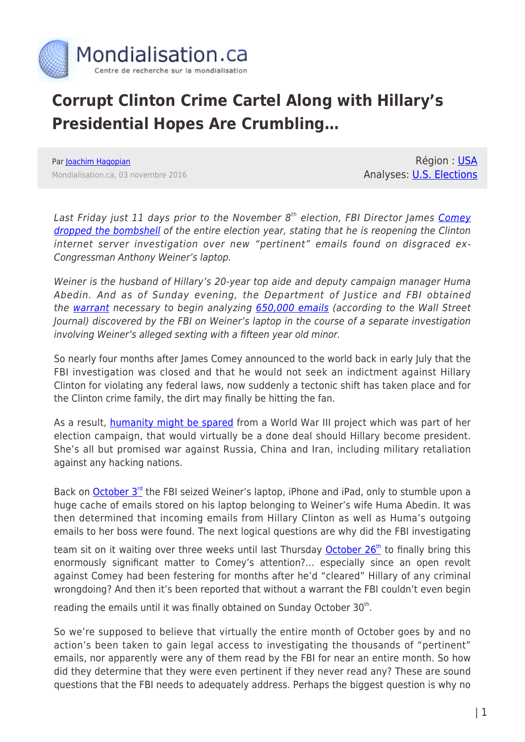

## **Corrupt Clinton Crime Cartel Along with Hillary's Presidential Hopes Are Crumbling…**

Par [Joachim Hagopian](https://www.mondialisation.ca/author/hagopian) Mondialisation.ca, 03 novembre 2016

Région : [USA](https://www.mondialisation.ca/region/usa) Analyses: [U.S. Elections](https://www.mondialisation.ca/indepthreport/u-s-elections)

Last Friday just 11 days prior to the November 8<sup>th</sup> election, FBI Director James [Comey](http://www.globalresearch.ca/the-real-reasons-why-fbi-director-james-comey-reopened-the-hillary-investigation/5553979) [dropped the bombshell](http://www.globalresearch.ca/the-real-reasons-why-fbi-director-james-comey-reopened-the-hillary-investigation/5553979) of the entire election year, stating that he is reopening the Clinton internet server investigation over new "pertinent" emails found on disgraced ex-Congressman Anthony Weiner's laptop.

Weiner is the husband of Hillary's 20-year top aide and deputy campaign manager Huma Abedin. And as of Sunday evening, the Department of Justice and FBI obtained the [warrant](http://www.nytimes.com/2016/10/31/us/politics/justice-department-warrant-clinton-abedin-fbi.html?_r=0) necessary to begin analyzing [650,000 emails](http://www.marketwatch.com/story/fbi-to-search-650000-emails-on-weiners-laptop-in-clinton-probe-2016-10-30) (according to the Wall Street Journal) discovered by the FBI on Weiner's laptop in the course of a separate investigation involving Weiner's alleged sexting with a fifteen year old minor.

So nearly four months after James Comey announced to the world back in early July that the FBI investigation was closed and that he would not seek an indictment against Hillary Clinton for violating any federal laws, now suddenly a tectonic shift has taken place and for the Clinton crime family, the dirt may finally be hitting the fan.

As a result, [humanity might be spared](http://www.globalresearch.ca/video-hillary-clinton-a-threat-to-all-humanity-world-war-iii-is-on-the-table/5537686) from a World War III project which was part of her election campaign, that would virtually be a done deal should Hillary become president. She's all but promised war against Russia, China and Iran, including military retaliation against any hacking nations.

Back on [October 3](http://www.nytimes.com/2016/10/30/us/politics/comey-clinton-email-justice.html?_r=0)<sup>[rd](http://www.nytimes.com/2016/10/30/us/politics/comey-clinton-email-justice.html?_r=0)</sup> the FBI seized Weiner's laptop, iPhone and iPad, only to stumble upon a huge cache of emails stored on his laptop belonging to Weiner's wife Huma Abedin. It was then determined that incoming emails from Hillary Clinton as well as Huma's outgoing emails to her boss were found. The next logical questions are why did the FBI investigating

team sit on it waiting over three weeks until last Thursday [October 26](https://www.washingtonpost.com/world/national-security/justice-officials-warned-fbi-that-comeys-decision-to-update-congress-was-not-consistent-with-department-policy/2016/10/29/cb179254-9de7-11e6-b3c9-f662adaa0048_story.html)<sup>[th](https://www.washingtonpost.com/world/national-security/justice-officials-warned-fbi-that-comeys-decision-to-update-congress-was-not-consistent-with-department-policy/2016/10/29/cb179254-9de7-11e6-b3c9-f662adaa0048_story.html)</sup> to finally bring this enormously significant matter to Comey's attention?… especially since an open revolt against Comey had been festering for months after he'd "cleared" Hillary of any criminal wrongdoing? And then it's been reported that without a warrant the FBI couldn't even begin

reading the emails until it was finally obtained on Sunday October 30<sup>th</sup>.

So we're supposed to believe that virtually the entire month of October goes by and no action's been taken to gain legal access to investigating the thousands of "pertinent" emails, nor apparently were any of them read by the FBI for near an entire month. So how did they determine that they were even pertinent if they never read any? These are sound questions that the FBI needs to adequately address. Perhaps the biggest question is why no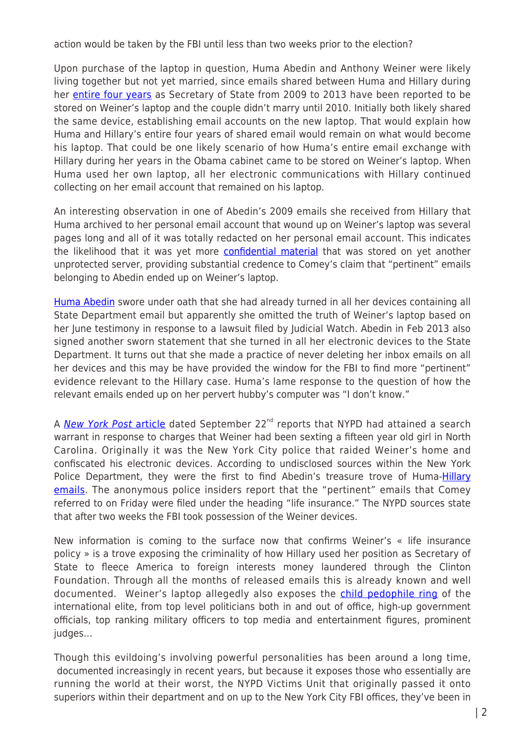action would be taken by the FBI until less than two weeks prior to the election?

Upon purchase of the laptop in question, Huma Abedin and Anthony Weiner were likely living together but not yet married, since emails shared between Huma and Hillary during her [entire four years](http://www.zerohedge.com/news/2016-10-30/fbi-scour-through-650000-emails-found-weiners-laptop) as Secretary of State from 2009 to 2013 have been reported to be stored on Weiner's laptop and the couple didn't marry until 2010. Initially both likely shared the same device, establishing email accounts on the new laptop. That would explain how Huma and Hillary's entire four years of shared email would remain on what would become his laptop. That could be one likely scenario of how Huma's entire email exchange with Hillary during her years in the Obama cabinet came to be stored on Weiner's laptop. When Huma used her own laptop, all her electronic communications with Hillary continued collecting on her email account that remained on his laptop.

An interesting observation in one of Abedin's 2009 emails she received from Hillary that Huma archived to her personal email account that wound up on Weiner's laptop was several pages long and all of it was totally redacted on her personal email account. This indicates the likelihood that it was yet more **confidential material** that was stored on yet another unprotected server, providing substantial credence to Comey's claim that "pertinent" emails belonging to Abedin ended up on Weiner's laptop.

[Huma Abedin](http://townhall.com/tipsheet/mattvespa/2016/10/30/flashback-huma-abedin-swore-to-give-up-all-devices-with-state-department-emails-n2238478) swore under oath that she had already turned in all her devices containing all State Department email but apparently she omitted the truth of Weiner's laptop based on her June testimony in response to a lawsuit filed by Judicial Watch. Abedin in Feb 2013 also signed another sworn statement that she turned in all her electronic devices to the State Department. It turns out that she made a practice of never deleting her inbox emails on all her devices and this may be have provided the window for the FBI to find more "pertinent" evidence relevant to the Hillary case. Huma's lame response to the question of how the relevant emails ended up on her pervert hubby's computer was "I don't know."

A [New York Post](http://nypost.com/2016/09/22/nypd-investigating-weiners-sexting-relationship-with-teen/) [article](http://nypost.com/2016/09/22/nypd-investigating-weiners-sexting-relationship-with-teen/) dated September  $22^{nd}$  reports that NYPD had attained a search warrant in response to charges that Weiner had been sexting a fifteen year old girl in North Carolina. Originally it was the New York City police that raided Weiner's home and confiscated his electronic devices. According to undisclosed sources within the New York Police Department, they were the first to find Abedin's treasure trove of Huma-**[Hillary](http://theblacksphere.net/2016/10/weiner-filed-emails-life-insurance/)** [emails](http://theblacksphere.net/2016/10/weiner-filed-emails-life-insurance/). The anonymous police insiders report that the "pertinent" emails that Comey referred to on Friday were filed under the heading "life insurance." The NYPD sources state that after two weeks the FBI took possession of the Weiner devices.

New information is coming to the surface now that confirms Weiner's « life insurance policy » is a trove exposing the criminality of how Hillary used her position as Secretary of State to fleece America to foreign interests money laundered through the Clinton Foundation. Through all the months of released emails this is already known and well documented. Weiner's laptop allegedly also exposes the [child pedophile ring](http://coyoteprime-runningcauseicantfly.blogspot.co.id/2016/10/why-huma-needed-10000-email-life.html) of the international elite, from top level politicians both in and out of office, high-up government officials, top ranking military officers to top media and entertainment figures, prominent judges…

Though this evildoing's involving powerful personalities has been around a long time, documented increasingly in recent years, but because it exposes those who essentially are running the world at their worst, the NYPD Victims Unit that originally passed it onto superiors within their department and on up to the New York City FBI offices, they've been in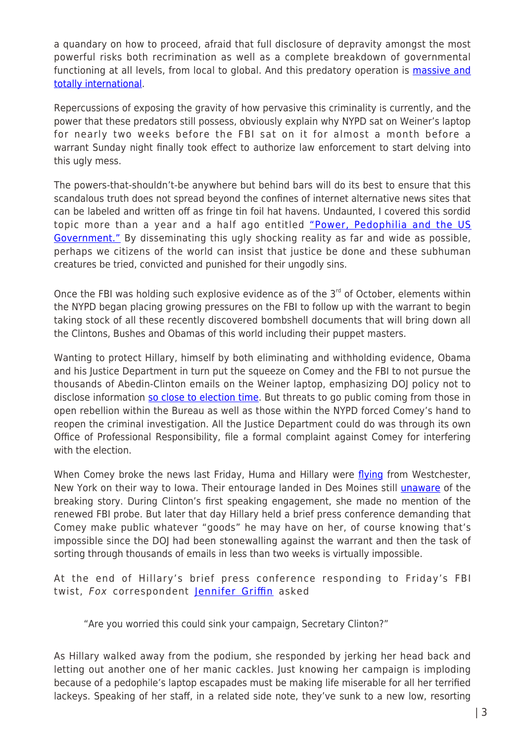a quandary on how to proceed, afraid that full disclosure of depravity amongst the most powerful risks both recrimination as well as a complete breakdown of governmental functioning at all levels, from local to global. And this predatory operation is [massive and](https://www.rt.com/usa/167996-168-children-rescued-sex-trafficking/) [totally international](https://www.rt.com/usa/167996-168-children-rescued-sex-trafficking/).

Repercussions of exposing the gravity of how pervasive this criminality is currently, and the power that these predators still possess, obviously explain why NYPD sat on Weiner's laptop for nearly two weeks before the FBI sat on it for almost a month before a warrant Sunday night finally took effect to authorize law enforcement to start delving into this ugly mess.

The powers-that-shouldn't-be anywhere but behind bars will do its best to ensure that this scandalous truth does not spread beyond the confines of internet alternative news sites that can be labeled and written off as fringe tin foil hat havens. Undaunted, I covered this sordid topic more than a year and a half ago entitled ["Power, Pedophilia and the US](http://www.veteranstoday.com/2015/02/07/power-pedophilia-and-the-us-government/) [Government."](http://www.veteranstoday.com/2015/02/07/power-pedophilia-and-the-us-government/) By disseminating this ugly shocking reality as far and wide as possible, perhaps we citizens of the world can insist that justice be done and these subhuman creatures be tried, convicted and punished for their ungodly sins.

Once the FBI was holding such explosive evidence as of the  $3<sup>rd</sup>$  of October, elements within the NYPD began placing growing pressures on the FBI to follow up with the warrant to begin taking stock of all these recently discovered bombshell documents that will bring down all the Clintons, Bushes and Obamas of this world including their puppet masters.

Wanting to protect Hillary, himself by both eliminating and withholding evidence, Obama and his Justice Department in turn put the squeeze on Comey and the FBI to not pursue the thousands of Abedin-Clinton emails on the Weiner laptop, emphasizing DOJ policy not to disclose information [so close to election time](http://www.politicususa.com/2016/10/28/doj-complaint-filed-fbi-director-james-comey-interfering-presidential-election.html). But threats to go public coming from those in open rebellion within the Bureau as well as those within the NYPD forced Comey's hand to reopen the criminal investigation. All the Justice Department could do was through its own Office of Professional Responsibility, file a formal complaint against Comey for interfering with the election.

When Comey broke the news last Friday, Huma and Hillary were [flying](http://www.nytimes.com/2016/10/30/us/politics/huma-abedin-anthony-weiner-clinton.html) from Westchester, New York on their way to Iowa. Their entourage landed in Des Moines still [unaware](http://townhall.com/tipsheet/christinerousselle/2016/10/28/oh-man-hillarys-plane-didnt-have-wifi-and-she-had-no-idea-the-fbi-was-investigating-her-n2238117) of the breaking story. During Clinton's first speaking engagement, she made no mention of the renewed FBI probe. But later that day Hillary held a brief press conference demanding that Comey make public whatever "goods" he may have on her, of course knowing that's impossible since the DOJ had been stonewalling against the warrant and then the task of sorting through thousands of emails in less than two weeks is virtually impossible.

At the end of Hillary's brief press conference responding to Friday's FBI twist, Fox correspondent [Jennifer Griffin](http://madworldnews.com/hillary-melts-weiner-public-pics/) asked

"Are you worried this could sink your campaign, Secretary Clinton?"

As Hillary walked away from the podium, she responded by jerking her head back and letting out another one of her manic cackles. Just knowing her campaign is imploding because of a pedophile's laptop escapades must be making life miserable for all her terrified lackeys. Speaking of her staff, in a related side note, they've sunk to a new low, resorting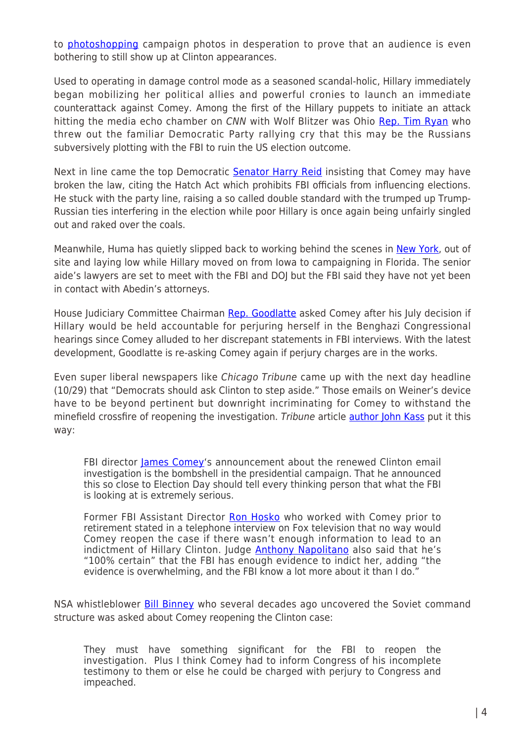to [photoshopping](http://madworldnews.com/hillary-melts-weiner-public-pics/) campaign photos in desperation to prove that an audience is even bothering to still show up at Clinton appearances.

Used to operating in damage control mode as a seasoned scandal-holic, Hillary immediately began mobilizing her political allies and powerful cronies to launch an immediate counterattack against Comey. Among the first of the Hillary puppets to initiate an attack hitting the media echo chamber on CNN with Wolf Blitzer was Ohio [Rep. Tim Ryan](https://www.youtube.com/watch?v=aNX3k5tc_8w) who threw out the familiar Democratic Party rallying cry that this may be the Russians subversively plotting with the FBI to ruin the US election outcome.

Next in line came the top Democratic [Senator Harry Reid](http://www.usnews.com/news/politics/articles/2016-10-30/top-senate-dem-says-fbi-chief-may-have-broken-law-on-emails) insisting that Comey may have broken the law, citing the Hatch Act which prohibits FBI officials from influencing elections. He stuck with the party line, raising a so called double standard with the trumped up Trump-Russian ties interfering in the election while poor Hillary is once again being unfairly singled out and raked over the coals.

Meanwhile, Huma has quietly slipped back to working behind the scenes in [New York,](http://www.nytimes.com/2016/10/30/us/politics/huma-abedin-anthony-weiner-clinton.html) out of site and laying low while Hillary moved on from Iowa to campaigning in Florida. The senior aide's lawyers are set to meet with the FBI and DOJ but the FBI said they have not yet been in contact with Abedin's attorneys.

House Judiciary Committee Chairman [Rep. Goodlatte](https://www.yahoo.com/news/rep-goodlatte-asks-fbi-investigate-175754965.html?soc_src=mail&soc_trk=ma) asked Comey after his July decision if Hillary would be held accountable for perjuring herself in the Benghazi Congressional hearings since Comey alluded to her discrepant statements in FBI interviews. With the latest development, Goodlatte is re-asking Comey again if perjury charges are in the works.

Even super liberal newspapers like Chicago Tribune came up with the next day headline (10/29) that "Democrats should ask Clinton to step aside." Those emails on Weiner's device have to be beyond pertinent but downright incriminating for Comey to withstand the minefield crossfire of reopening the investigation. Tribune article [author John Kass](http://www.chicagotribune.com/news/columnists/kass/) put it this way:

FBI director [James Comey'](http://www.chicagotribune.com/topic/politics-government/james-comey-PEGPF00193-topic.html)s announcement about the renewed Clinton email investigation is the bombshell in the presidential campaign. That he announced this so close to Election Day should tell every thinking person that what the FBI is looking at is extremely serious.

Former FBI Assistant Director [Ron Hosko](http://www.foxnews.com/transcript/2016/10/28/rep-trey-gowdy-fbi-director-comey-did-right-thing/) who worked with Comey prior to retirement stated in a telephone interview on Fox television that no way would Comey reopen the case if there wasn't enough information to lead to an indictment of Hillary Clinton. Judge **[Anthony Napolitano](http://insider.foxnews.com/2016/04/22/judge-napolitano-fbi-has-evidence-indict-and-convict-hillary-clinton-email-scandal)** also said that he's "100% certain" that the FBI has enough evidence to indict her, adding "the evidence is overwhelming, and the FBI know a lot more about it than I do."

NSA whistleblower [Bill Binney](http://www.zerohedge.com/news/2016-10-30/%E2%80%9Cthey-must-have-something-significant-fbi-reopen-investigation%E2%80%9D) who several decades ago uncovered the Soviet command structure was asked about Comey reopening the Clinton case:

They must have something significant for the FBI to reopen the investigation. Plus I think Comey had to inform Congress of his incomplete testimony to them or else he could be charged with perjury to Congress and impeached.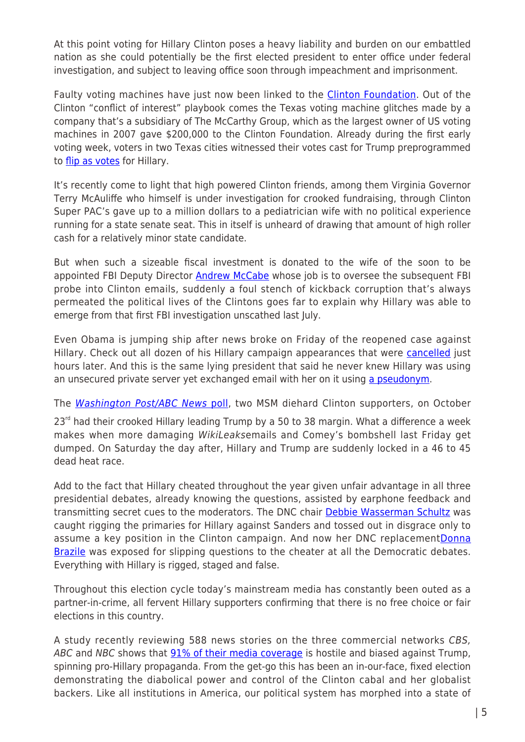At this point voting for Hillary Clinton poses a heavy liability and burden on our embattled nation as she could potentially be the first elected president to enter office under federal investigation, and subject to leaving office soon through impeachment and imprisonment.

Faulty voting machines have just now been linked to the [Clinton Foundation](http://www.zerohedge.com/news/2016-10-27/new-evidence-links-voting-machines-and-clinton-foundation). Out of the Clinton "conflict of interest" playbook comes the Texas voting machine glitches made by a company that's a subsidiary of The McCarthy Group, which as the largest owner of US voting machines in 2007 gave \$200,000 to the Clinton Foundation. Already during the first early voting week, voters in two Texas cities witnessed their votes cast for Trump preprogrammed to [flip as votes](http://www.infowars.com/report-votes-switched-from-trump-to-hillary-in-texas/) for Hillary.

It's recently come to light that high powered Clinton friends, among them Virginia Governor Terry McAuliffe who himself is under investigation for crooked fundraising, through Clinton Super PAC's gave up to a million dollars to a pediatrician wife with no political experience running for a state senate seat. This in itself is unheard of drawing that amount of high roller cash for a relatively minor state candidate.

But when such a sizeable fiscal investment is donated to the wife of the soon to be appointed FBI Deputy Director [Andrew McCabe](http://www.independentsentinel.com/fbi-agents-wife-got-1-million-from-clinton-friends-gave-it-back-to-clinton-tied-vendor/) whose job is to oversee the subsequent FBI probe into Clinton emails, suddenly a foul stench of kickback corruption that's always permeated the political lives of the Clintons goes far to explain why Hillary was able to emerge from that first FBI investigation unscathed last July.

Even Obama is jumping ship after news broke on Friday of the reopened case against Hillary. Check out all dozen of his Hillary campaign appearances that were [cancelled](http://redstatewatcher.com/article.asp?id=45780) just hours later. And this is the same lying president that said he never knew Hillary was using an unsecured private server yet exchanged email with her on it using [a pseudonym](http://www.politico.com/story/2016/09/hillary-clinton-emails-fbi-228607).

The [Washington Post/ABC News](http://www.langerresearch.com/wp-content/uploads/1184a82016ElectionTrackingNo8.pdf) [poll,](http://www.langerresearch.com/wp-content/uploads/1184a82016ElectionTrackingNo8.pdf) two MSM diehard Clinton supporters, on October

 $23<sup>rd</sup>$  had their crooked Hillary leading Trump by a 50 to 38 margin. What a difference a week makes when more damaging WikiLeaksemails and Comey's bombshell last Friday get dumped. On Saturday the day after, Hillary and Trump are suddenly locked in a 46 to 45 dead heat race.

Add to the fact that Hillary cheated throughout the year given unfair advantage in all three presidential debates, already knowing the questions, assisted by earphone feedback and transmitting secret cues to the moderators. The DNC chair **Debbie Wasserman Schultz** was caught rigging the primaries for Hillary against Sanders and tossed out in disgrace only to assume a key position in the Clinton campaign. And now her DNC replacement [Donna](https://www.yahoo.com/news/cnn-cuts-ties-with-donna-brazile-after-hacked-emails-suggest-she-gave-clinton-campaign-debate-questions-183855590.html?soc_src=mail&soc_trk=ma) [Brazile](https://www.yahoo.com/news/cnn-cuts-ties-with-donna-brazile-after-hacked-emails-suggest-she-gave-clinton-campaign-debate-questions-183855590.html?soc_src=mail&soc_trk=ma) was exposed for slipping questions to the cheater at all the Democratic debates. Everything with Hillary is rigged, staged and false.

Throughout this election cycle today's mainstream media has constantly been outed as a partner-in-crime, all fervent Hillary supporters confirming that there is no free choice or fair elections in this country.

A study recently reviewing 588 news stories on the three commercial networks CBS, ABC and NBC shows that [91% of their media coverage](http://www.wnd.com/2016/10/reporting-the-obvious-american-media-hostile-to-trump/) is hostile and biased against Trump, spinning pro-Hillary propaganda. From the get-go this has been an in-our-face, fixed election demonstrating the diabolical power and control of the Clinton cabal and her globalist backers. Like all institutions in America, our political system has morphed into a state of